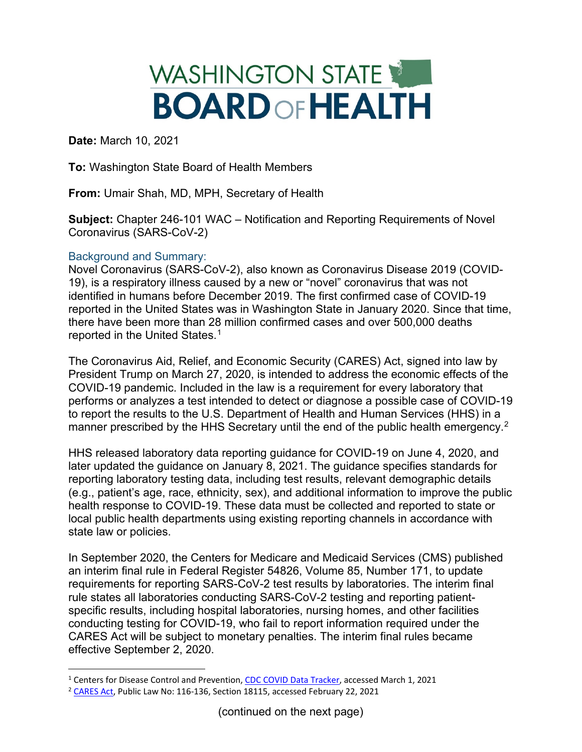## WASHINGTON STATE **BOARD OF HEALTH**

**Date:** March 10, 2021

**To:** Washington State Board of Health Members

**From:** Umair Shah, MD, MPH, Secretary of Health

**Subject:** Chapter 246-101 WAC – Notification and Reporting Requirements of Novel Coronavirus (SARS-CoV-2)

## Background and Summary:

Novel Coronavirus (SARS-CoV-2), also known as Coronavirus Disease 2019 (COVID-19), is a respiratory illness caused by a new or "novel" coronavirus that was not identified in humans before December 2019. The first confirmed case of COVID-19 reported in the United States was in Washington State in January 2020. Since that time, there have been more than 28 million confirmed cases and over 500,000 deaths reported in the United States.[1](#page-0-0)

The Coronavirus Aid, Relief, and Economic Security (CARES) Act, signed into law by President Trump on March 27, 2020, is intended to address the economic effects of the COVID-19 pandemic. Included in the law is a requirement for every laboratory that performs or analyzes a test intended to detect or diagnose a possible case of COVID-19 to report the results to the U.S. Department of Health and Human Services (HHS) in a manner prescribed by the HHS Secretary until the end of the public health emergency.<sup>[2](#page-0-1)</sup>

HHS released laboratory data reporting guidance for COVID-19 on June 4, 2020, and later updated the guidance on January 8, 2021. The guidance specifies standards for reporting laboratory testing data, including test results, relevant demographic details (e.g., patient's age, race, ethnicity, sex), and additional information to improve the public health response to COVID-19. These data must be collected and reported to state or local public health departments using existing reporting channels in accordance with state law or policies.

In September 2020, the Centers for Medicare and Medicaid Services (CMS) published an interim final rule in Federal Register 54826, Volume 85, Number 171, to update requirements for reporting SARS-CoV-2 test results by laboratories. The interim final rule states all laboratories conducting SARS-CoV-2 testing and reporting patientspecific results, including hospital laboratories, nursing homes, and other facilities conducting testing for COVID-19, who fail to report information required under the CARES Act will be subject to monetary penalties. The interim final rules became effective September 2, 2020.

<span id="page-0-0"></span><sup>&</sup>lt;sup>1</sup> Centers for Disease Control and Prevention, [CDC COVID Data Tracker,](https://covid.cdc.gov/covid-data-tracker/#cases_casesinlast7days) accessed March 1, 2021

<span id="page-0-1"></span><sup>&</sup>lt;sup>2</sup> [CARES Act,](https://www.congress.gov/bill/116th-congress/house-bill/748) Public Law No: 116-136, Section 18115, accessed February 22, 2021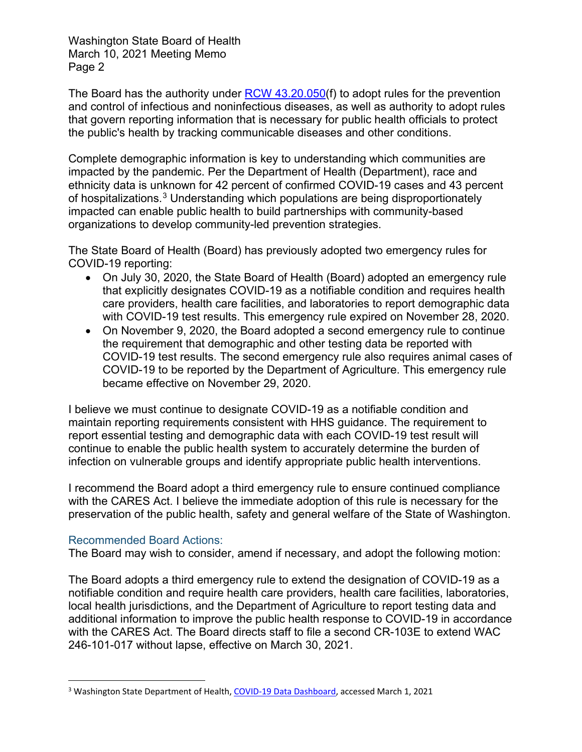Washington State Board of Health March 10, 2021 Meeting Memo Page 2

The Board has the authority under [RCW 43.20.050\(](https://apps.leg.wa.gov/RCW/default.aspx?cite=43.20.050)f) to adopt rules for the prevention and control of infectious and noninfectious diseases, as well as authority to adopt rules that govern reporting information that is necessary for public health officials to protect the public's health by tracking communicable diseases and other conditions.

Complete demographic information is key to understanding which communities are impacted by the pandemic. Per the Department of Health (Department), race and ethnicity data is unknown for 42 percent of confirmed COVID-19 cases and 43 percent of hospitalizations.[3](#page-1-0) Understanding which populations are being disproportionately impacted can enable public health to build partnerships with community-based organizations to develop community-led prevention strategies.

The State Board of Health (Board) has previously adopted two emergency rules for COVID-19 reporting:

- On July 30, 2020, the State Board of Health (Board) adopted an emergency rule that explicitly designates COVID-19 as a notifiable condition and requires health care providers, health care facilities, and laboratories to report demographic data with COVID-19 test results. This emergency rule expired on November 28, 2020.
- On November 9, 2020, the Board adopted a second emergency rule to continue the requirement that demographic and other testing data be reported with COVID-19 test results. The second emergency rule also requires animal cases of COVID-19 to be reported by the Department of Agriculture. This emergency rule became effective on November 29, 2020.

I believe we must continue to designate COVID-19 as a notifiable condition and maintain reporting requirements consistent with HHS guidance. The requirement to report essential testing and demographic data with each COVID-19 test result will continue to enable the public health system to accurately determine the burden of infection on vulnerable groups and identify appropriate public health interventions.

I recommend the Board adopt a third emergency rule to ensure continued compliance with the CARES Act. I believe the immediate adoption of this rule is necessary for the preservation of the public health, safety and general welfare of the State of Washington.

## Recommended Board Actions:

The Board may wish to consider, amend if necessary, and adopt the following motion:

The Board adopts a third emergency rule to extend the designation of COVID-19 as a notifiable condition and require health care providers, health care facilities, laboratories, local health jurisdictions, and the Department of Agriculture to report testing data and additional information to improve the public health response to COVID-19 in accordance with the CARES Act. The Board directs staff to file a second CR-103E to extend WAC 246-101-017 without lapse, effective on March 30, 2021.

<span id="page-1-0"></span><sup>3</sup> Washington State Department of Health, [COVID-19 Data Dashboard,](https://www.doh.wa.gov/Emergencies/COVID19/DataDashboard) accessed March 1, 2021